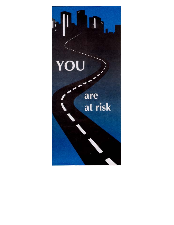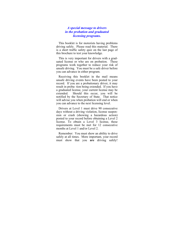## *A special message to drivers in the probation and graduated licensing programs.*

 This booklet is for motorists having problems driving safely. Please read this material. There is a short traffic safety quiz on the last page of this brochure to test your knowledge.

 This is very important for drivers with a graduated license or who are on probation. These programs work together to reduce your risk of unsafe driving. You must be a safe driver before you can advance in either program.

 Receiving this booklet in the mail means unsafe driving events have been posted to your record. If you are a probationary driver, it may result in proba- tion being extended. If you have a graduated license, your current license may be extended. Should this occur, you will be notified by the Secretary of State. That notice will advise you when probation will end or when you can advance to the next licensing level.

 Drivers at Level 1 must drive 90 consecutive days without a driving violation, license suspension or crash (showing a hazardous action) posted to your record before obtaining a Level 2 license. To obtain a Level 3 license, these requirements must be met for 12 consecutive months at Level 1 and/or Level 2.

 Remember: You must show an ability to drive safely at all times. More important, your record must show that you **are** driving safely!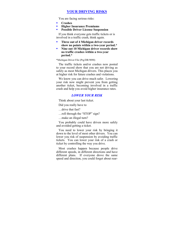## **YOUR DRIVING RISKS**

You are facing serious risks:

- **Crashes**
- **Higher Insurance Premiums**
- **Possible Driver License Suspension**

 If you think everyone gets traffic tickets or is involved in a traffic crash, think again.

- **Three out of 4 Michigan driver records show no points within a two-year period.\***
- **Nine out 10 Michigan driver records show no traffic crashes within a two-year period.\***

\*Michigan Driver File (Prg/DR/9090)

 The traffic tickets and/or crashes now posted to your record show that you are not driving as safely as most Michigan drivers. This places you at higher risk for future crashes and violations.

We know you can drive much safer. Lowering your risk now might prevent you from getting another ticket, becoming involved in a traffic crash and help you avoid higher insurance rates.

## *LOWER YOUR RISK*

Think about your last ticket.

Did you really have to

…drive that fast?

…roll through the "STOP" sign?

…make an illegal turn?

 You probably could have driven more safely and avoided getting a ticket.

 You need to lower your risk by bringing it down to the level of most other drivers. You can lower you risk of suspension by avoiding traffic tickets. You can lower your risk of a crash or ticket by controlling the way you drive.

 Most crashes happen because people drive different speeds, in different directions and have different plans. If everyone drove the same speed and direction, you could forget about rear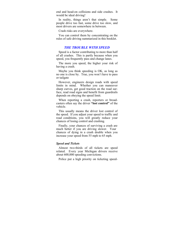end and head-on collisions and side crashes. It would be ideal driving!

 In reality, things aren't that simple. Some people drive too fast, some drive too slow, and most drivers are somewhere in between.

Crash risks are everywhere.

 You can control them by concentrating on the rules of safe driving summarized in this booklet.

## *THE TROUBLE WITH SPEED*

 Speed is a factor contributing to more than half of all crashes. This is partly because when you speed, you frequently pass and change lanes.

 The more you speed, the higher your risk of having a crash.

 Maybe you think speeding is OK, as long as no one is close by. True, you won't have to pass or tailgate

 However, engineers design roads with speed limits in mind. Whether you can maneuver sharp curves, get good traction on the road surface, read road signs and benefit from guardrails depends on obeying the speed limit.

 When reporting a crash, reporters or broadcasters often say the driver **"lost control"** of the vehicle.

 This usually means the driver lost control of the speed. If you adjust your speed to traffic and road conditions, you will greatly reduce your chances of losing control and crashing.

 Finally, your chances of surviving a crash are much better if you are driving slower. Your chances of dying in a crash double when you increase your speed from 55 mph to 65 mph.

### *Speed and Tickets*

Almost two-thirds of all tickets are speed related. Every year Michigan drivers receive about 600,000 speeding convictions.

Police put a high priority on ticketing speed-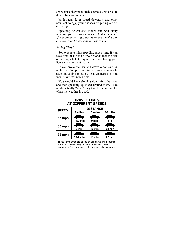ers because they pose such a serious crash risk to themselves and others.

 With radar, laser speed detectors, and other new technology, your chances of getting a ticket are high.

 Speeding tickets cost money and will likely increase your insurance rates. And remember: *If you continue to get tickets or are involved in crashes, your license may be suspended.* 

## *Saving Time?*

Some people think speeding saves time. If you save time, it is such a few seconds that the risk of getting a ticket, paying fines and losing your license is surely not worth it!

 If you broke the law and drove a constant 60 mph in a 55-mph zone for one hour, you would save about five minutes. But chances are, you won't save that much time.

 You would keep slowing down for other cars and then speeding up to get around them. You might actually "save" only two to three minutes when the weather is good.

| <b>SPEED</b>  | <b>DISTANCE</b> |                  |          |
|---------------|-----------------|------------------|----------|
|               | 5 miles         | 10 miles         | 20 miles |
| 65 mph        | 4 1/2 min       | 9 min            | 18 min   |
|               |                 |                  |          |
| 60 mph        |                 |                  |          |
|               | 5 min           | $10 \text{ min}$ | $20$ min |
| <b>55 mph</b> |                 |                  |          |
|               | 5 1/2 min       | 11 min           | 22 min   |

## **TRAVEL TIMES AT DIFFERENT SPEEDS**

These travel times are based on constant driving speeds, something that is rarely possible. Even at constant speeds, the "savings" are small—and the risks are large.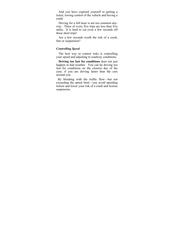And you have exposed yourself to getting a ticket, lowing control of the vehicle and having a crash.

 Driving for a full hour is not too common anyway. Three of every five trips are less than five miles. It is hard to cut even a few seconds off these short trips!

 Are a few seconds worth the risk of a crash, fine or suspension?

### *Controlling Speed*

 The best way to control risks is controlling your speed and adjusting to roadway conditions.

 **Driving too fast for conditions** does not just happen in bad weather. You can be driving too fast for conditions on the clearest day of the year, if you are driving faster than the cars around you.

 By blending with the traffic flow—but not exceeding the speed limit—you avoid speeding tickets and lower your risk of a crash and license suspension.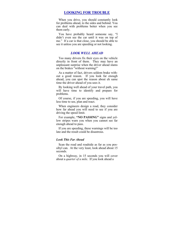## **LOOKING FOR TROUBLE**

 When you drive, you should constantly look for problems ahead, to the sides and behind. You can deal with problems better when you see them early.

 You have probably heard someone say, "I didn't even see the car until it was on top of me." If a car is that close, you should be able to see it unless you are speeding or not looking.

## *LOOK WELL AHEAD*

 Too many drivers fix their eyes on the vehicle directly in front of them. They may have an unpleasant surprise when the driver ahead slams on the brakes "without warning!"

 As a matter of fact, drivers seldom brake without a good reason. If you look far enough ahead, you can spot the reason about eh same time the driver ahead of you sees it.

 By looking well ahead of your travel path, you will have time to identify and prepare for problems.

 Of course, if you are speeding, you will have less time to see, plan and react.

 When engineers design a road, they consider how far ahead you will need to see if you are driving the speed limit.

 For example, **"NO PASSING"** signs and yellow stripes warn you when you cannot see far enough ahead to pass.

 If you are speeding, these warnings will be too late and the result could be disastrous.

### *Look This Far Ahead*

 Scan the road and roadside as far as you possibyl can. At the very least, look ahead about 15 seconds.

 On a highway, in 15 seconds you will cover about a *quarter of a mile*. If you look ahead a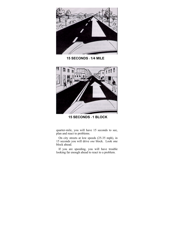

**15 SECONDS** = **1/4 MILE** 



**15 SECONDS** = **1 BLOCK**

quarter-mile, you will have 15 seconds to see, plan and react to problems.

 On city streets at low speeds (25-35 mph), in 15 seconds you will drive *one* block. Look one block ahead.

 If you are speeding, you will have trouble looking far enough ahead to react to a problem.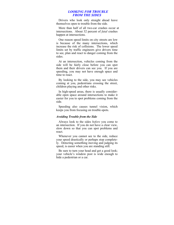### *LOOKING FOR TROUBLE FROM THE SIDES*

 Drivers who look only straight ahead leave themselves open to trouble from the side.

 More than half of all two-car crashes occur at intersections. About 32 percent of *fatal* crashes happen at intersections.

 One reason speed limits on city streets are low is because of the many intersections, which increase the risk of collisions. The lower speed limits set by traffic engineers give drivers time to see, plan and react to danger coming from the sides.

 At an intersection, vehicles coming from the side will be fairly close before you can spot them and their drivers can see you. If you are speeding, you may not have enough space and time to react.

 By looking to the side, you may see vehicles coming at you, pedestrians crossing the street, children playing and other risks.

 In high-speed areas, there is usually considerable open space around intersections to make it easier for you to spot problems coming from the side.

 Speeding also causes tunnel vision, which keeps you from focusing on trouble-spots.

### *Avoiding Trouble from the Side*

 Always look to the sides *before* you come to an intersection. If you do not have a clear view, slow down so that you can spot problems and react.

 Whenever you cannot see to the side, reduce your speed drastically or perhaps stop completely. Detecting something moving and judging its speed, is easier when you are standing still.

 Be sure to turn your head and get a good look; your vehicle's window post is wide enough to hide a pedestrian or a car.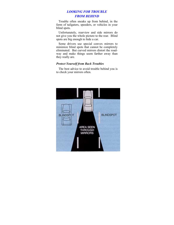# *LOOKING FOR TROUBLE FROM BEHIND*

 Trouble often sneaks up from behind, in the form of tailgaters, speeders, or vehicles in your blind spots.

 Unfortunately, rearview and side mirrors do not give you the whole picture to the rear. Blind spots are big enough to hide a car.

 Some drivers use special convex mirrors to minimize blind spots that cannot be completely eliminated. But curved mirrors distort the roadway and make things seem farther away than they really are.

## *Protect Yourself from Back Troubles*

 The best advice to avoid trouble behind you is to check your mirrors often.

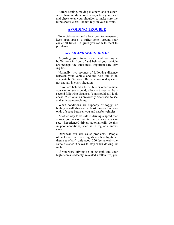Before turning, moving to a new lane or otherwise changing directions, always turn your head and check over your shoulder to make sure the blind spot is clear. Do not rely on your mirrors.

## **AVOIDING TROUBLE**

 To avoid crashes and allow room to maneuver, keep open space—a buffer zone—around your car at all times. It gives you room to react to problems.

## *SPEED AND SPACE AHEAD*

 Adjusting your travel speed and keeping a buffer zone in front of and behind your vehicle are perhaps the three most important safe driving tips.

 Normally, two seconds of following distance between your vehicle and the next one is an adequate buffer zone. But a two-second space is not enough in every situation.

 If you are behind a truck, bus or other vehicle you cannot see around, allow a three- to foursecond following distance. You should still look ahead *15 seconds* as previously discussed, to see and anticipate problems.

 When conditions are slipperly or foggy, or both, you will also need at least three or four seconds of space between you and nearby vehicles.

 Another way to be safe is driving a speed that allows you to stop within the distance you can see. Experienced drivers automatically do this in poor conditions, such as in fog or a snowstorm.

 **Darkness** can also cause problems. People often forget that their high-beam headlights let them see *clearly* only about 250 feet ahead—the same distance it takes to stop when driving 50 mph.

 If you were driving 55 or 60 mph and your high-beams suddenly revealed a fallen tree, you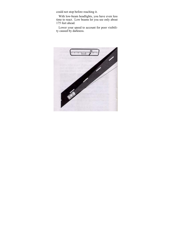could not stop before reaching it.

 With low-beam headlights, you have even less time to react. Low beams let you see only about 175 feet ahead.

 Lower your speed to account for poor visibility caused by darkness.

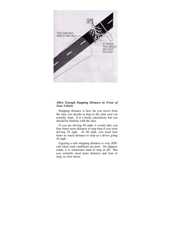

## *Allow Enough Stopping Distance in Front of Your Vehicle*

 Stopping distance is how far you travel from the time you decide to stop to the time your car actually stops. It is a tricky calculation, but you should be familiar with the idea.

 If you are driving 40 mph, it would take you four times more distance to stop than if you were driving 20 mph. At 60 mph, you need four times as much distance to stop as a driver going 30 mph.

 Figuring a safe stopping distance is very difficult when road conditions are poor. On slippery roads, it is sometimes hard to stop at all! But you certainly need more distance and time to stop, so slow down.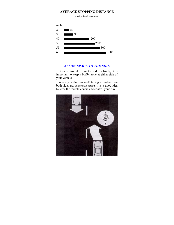## **AVERAGE STOPPING DISTANCE**

on dry, level pavement



## *ALLOW SPACE TO THE SIDE*

 Because trouble from the side is likely, it is important to keep a buffer zone at either side of your vehicle.

 When you find yourself facing a problem on both sides (*see illustration below*), it is a good idea to steer the middle course and control your risk.

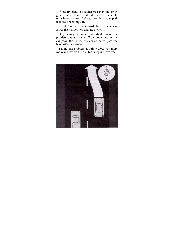If one problem is a higher risk than the other, give it more room. In the illustration, the child on a bike is more likely to veer into your path than the oncoming car.

 By shifting a little toward the car, you can lower the risk for you and the bicyclist.

 Or you may be more comfortable taking the problem one at a time: Slow down and let the car pass; then cross the centerline to pass the bike. (*Illustration below*)

 Taking one problem at a time gives you more room and lowers the risk for everyone involved.

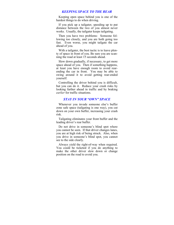## *KEEPING SPACE TO THE REAR*

 Keeping open space behind you is one of the hardest things to do when driving.

 If you pick up a tailgater, speeding up to put distance between the two of you almost never works. Usually, the tailgater keeps tailgating.

 Then you have two problems: Someone following too closely, and you are both going too fast. Even worse, you might tailgate the car ahead of you.

 With a tailgater, the best tactic is to leave plenty of space in front of you. Be sure you are scanning the road at least 15 seconds ahead.

 Slow down gradually, if necessary, to get more space ahead of you. Then if something happens, at least you have enough room to avoid rearending the car in front. You may be able to swing around it to avoid getting rear-ended yourself.

 Controlling the driver behind you is difficult, but you can do it. Reduce your crash risks by looking farther ahead in traffic and by braking *earlier* for traffic situations.

## *STAY IN YOUR "OWN" SPACE*

 Whenever you invade someone else's buffer zone safe space (tailgating is one way), you cut down on your own buffer, increasing your crash risk.

 Tailgating eliminates your front buffer and the leading driver's rear buffer.

 Do not drive in someone's blind spot where you cannot be seen. If that driver changes lanes, you are at high risk of being struck. Also, when you drive in someone's blind spot, you cannot see to the side clearly.

 Always yield the right-of-way when required. You could be ticketed if you do anything to make the other driver slow down or change position on the road to avoid you.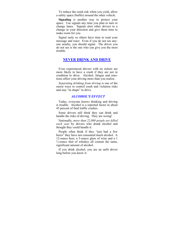To reduce the crash risk when you yield, allow a safety space (buffer) around the other vehicle.

 **Signaling** is another way to protect your space. Use signals any time you plan to turn or change lanes. Signals alert other drivers to a change in your direction and give them time to make room for you.

 Signal early so others have time to read your message and react. Even if you do not see anyone nearby, you should signal. The driver you do not see is the one who can give you the most trouble.

## **NEVER DRINK AND DRIVE**

 Even experienced drivers with no tickets are more likely to have a crash if they are not in condition to drive. Alcohol, fatigue and emotions affect your driving more than you realize.

 *Separating drinking from driving* is one of the surest ways to control crash and violation risks and stay "in shape" to drive.

### *ALCOHOL'S EFFECT*

 Today, everyone knows drinking and driving is trouble. Alcohol is a reported factor in about 45 percent of fatal traffic crashes.

 Some drivers still think they can drink and handle the risks of driving. They are wrong!

 Nationally, *more than 22,000 people are killed each year* by drivers who drank alcohol and thought they could handle it.

 People often think if they "just had a few beers" they have not consumed much alcohol. A 12-ounce beer, a 5-ounce glass of wine and a 1  $\frac{1}{2}$ -ounce shot of whiskey all contain the same, significant amount of alcohol.

 If you drink alcohol, you are an unfit driver long before you know it.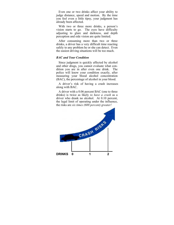Even one or two drinks affect your ability to judge distance, speed and motion. By the time you feel even a little tipsy, your judgment has already been affected.

 With two or three more drinks, a person's vision starts to go. The eyes have difficulty adjusting to glare and darkness, and depth perception and side vision are quite limited.

 After consuming more than two or three drinks, a driver has a very difficult time reacting safely to any problem he or she can detect. Even the easiest driving situations will be too much.

### *BAC and Your Condition*

 Since judgment is quickly affected by alcohol and other drugs, you cannot evaluate what condition you are in after even one drink. The police will know your condition exactly, after measuring your blood alcohol concentration (BAC), the percentage of alcohol in your blood.

 A driver's risk of having a crash increases along with BAC.

 A driver with a 0.06 percent BAC (one to three drinks) is twice as likely *to have a crash* as a driver who drank no alcohol. At 0.10 percent, the legal limit of operating under the influence, the risks are *six times (600 percent) greater!* 

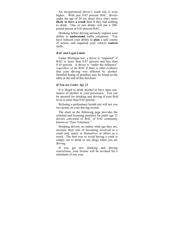An inexperienced driver's crash risk is even higher. With just 0.03 percent BAC, drivers under the age of 20 are about *three times* more **likely to have a crash** than if they had nothing to drink. One or two drinks will put a 200 pound person at 0.03 percent BAC.

 Drinking before driving seriously impairs your ability to **understand** traffic situations. You have reduced your ability to **plan** a safe course of action, and impaired your vehicle **control** skills.

### *BAC and Legal Limits*

 Under Michigan law, a driver is "impaired" if BAC is more than 0.07 percent and less than 0.10 percent. A driver is "under the influence" *regardless of the* BAC if there is other evidence that your driving was affected by alcohol. Detailed listing of penalties may be found on the table at the end of this brochure.

## *If You are Under Age 21*

 It is illegal to drink alcohol or have open containers of alcohol in your possession. You can be arrested for drinking and driving if your BAC level is more than 0.02 percent.

 Refusing a preliminary breath test will net you two points on your driving record.

 The chart on the following page provides the criminal and licensing penalties for under age 21 drivers convicted of BAC of 0.02 commonly known as "Zero Tolerance."

 Drinking drivers, no matter what age they are, increase their risk of becoming involved in a crash and, injury to themselves or others as a result. The best way to avoid having a crash is simply not to drink or use drugs when you are driving.

 If you get two drinking and driving convictions, your license will be revoked for a minimum of one year.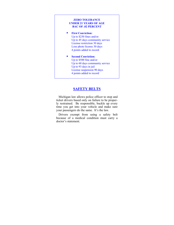### **ZERO TOLERANCE UNDER 21 YEARS OF AGE BAC OF .02 PERCENT**

- **First Conviction:** Up to \$250 fines and/or Up to 45 days community service License restriction 30 days Lose photo license 30 days 4 points added to record
- **Second Conviction:** Up to \$500 fine and/or Up to 60 days community service Up to 93 days in jail License suspension 90 days 4 points added to record

# **SAFETY BELTS**

 Michigan law allows police officer to stop and ticket drivers based only on failure to be properly restrained. Be responsible, buckle up every time you get into your vehicle and make sure your passengers do the same. It's the law.

 Drivers exempt from using a safety belt because of a medical condition must carry a doctor's statement.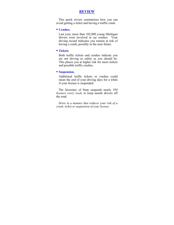## **REVIEW**

 This quick review summarizes how you can avoid getting a ticket and having a traffic crash.

### **Crashes.**

Last year, more than 102,000 young Michigan drivers were involved in car crashes. Your driving record indicates you remain at risk of having a crash, possibly in the near future.

### **Tickets**.

Both traffic tickets and crashes indicate you are not driving as safely as you should be. This places you at higher risk for more tickets and possible traffic crashes.

## **Suspension.**

Additional traffic tickets or crashes could mean the end of your driving days for a while if your license is suspended.

 The Secretary of State suspends nearly *950 licenses every week*, to keep unsafe drivers off the road*.* 

 *Drive in a manner that reduces your risk of a crash, ticket or suspension of your license.*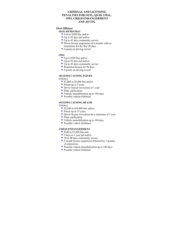### **CRIMINAL AND LICENSING PENALTIES FOR OUIL, QUID, UBAL, OWI, CHILD ENDANGERMENT AND .04 CDL**

# **First Offense:**

## **OUIL/OUID/UBAC**

- \$100 to \$500 fine and/or
- Up to 93 days jail and/or
- $\blacksquare$  Up to 45 days community service
- Driver license suspension of 6 months with no restrictions for the first 30 days
- 6 points on driving record

#### **OWI**

- Up to \$300 fine and/or
- Up to 93 days jail and/or
- $\blacksquare$  Up to 45 days community service
- Restricted license for 90 days
- 4 points on driving record

### **OUI/OWI CAUSING INJURY**

### (Felony)

- $\blacksquare$  \$1,000 to \$5,000 fine and/or
- Prison up to 5 years
- **Driver license revocation of 1 year**
- Plate confiscation
- Vehicle immobilization up to 180 days
- **Possible vehicle forfeiture**

#### **OUI/OWI CAUSING DEATH**

(Felony)

- $\blacksquare$  \$2,500 to \$10,000 fine and/or
- **Prison up to 15 years**
- Driver license revocation for a minimum of 1 year
- Plate confiscation
- Vehicle immobilization up to 180 days
- **Possible vehicle forfeiture**

#### **CHILD ENDANGERMENT**

- **5200 to \$1,000 fine and**
- 5 days to 1 year jail and/or
- 30 to 90 days community service
- 3 month license suspension followed by 3 months of restrictions
- **Possible vehicle immobilization up to 180 days**
- **Possible vehicle forfeiture**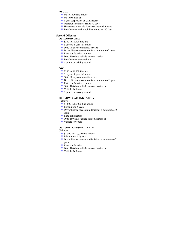#### **.04 CDL**

- Up to \$300 fine and/or
- $\overline{U}$  Up to 93 days jail
- $\blacksquare$  1 year suspension of CDL license
- Operator license restricted 90 days
- Hazardous materials license suspended 3 years
- **Possible vehicle immobilization up to 180 days**

## **Second Offense:**

### **OUIL/OUID/UBAC**

- **5200** to \$1,000 fine and
- 5 days to 1 year jail and/or
- 30 to 90 days community service
- Driver license revocation for a minimum of 1 year
- Plate confiscation required
- 90 to 180 days vehicle immobilization
- **Possible vehicle forfeiture**
- 6 points on driving record

#### **OWI**

- **5200 to \$1,000 fine and**
- 5 days to 1 year jail and/or
- 30 to 90 days community service
- **Driver license revocation for a minimum of 1 year**
- Plate confiscation required
- 90 to 180 days vehicle immobilization or
- Vehicle forfeiture
- 4 points on driving record

#### **OUIL/OWI CAUSING INJURY**

(Felony)

- **51,000 to \$5,000 fine and/or**
- Prison up to 5 years
- Driver license revocation/denial for a minimum of 5 years
- Plate confiscation
- 90 to 180 days vehicle immobilization or
- Vehicle forfeiture

### **OUIL/OWI CAUSING DEATH**

(Felony)

- **52,500 to \$10,000 fine and/or**
- $\blacksquare$  Prison up to 15 years
- **Driver license revocation/denial for a minimum of 5** years
- Plate confiscation
- 90 to 180 days vehicle immobilization or
- Vehicle forfeiture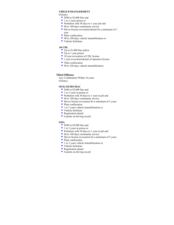### **CHILD ENDANGERMENT**

(Felony)

- **5500 to \$5,000 fine and**
- $\blacksquare$  1 to 5 years prison or
- **Probation with 30 days to 1 year jail and**
- 60 to 180 days community service
- **Driver license revocation/denial for a minimum of 1** year
- $\blacksquare$  Plate confiscation
- 90 to 180 days vehicle immobilization or
- Vehicle forfeiture

#### **.04 CDL**

- Up to \$1,000 fine and/or
- $\overline{\phantom{a}}$  Up to 1 year prison
- $\blacksquare$  10 year revocation of CDL license
- <sup>1</sup> 1 year revocation/denial of operators license
- Plate confiscation
- 90 to 180 days vehicle immobilization

### **Third Offense:**

Any Combination Within 10 years (Felony)

#### **OUIL/OUID/UBAC**

- **5500 to \$5,000 fine and**
- $\blacksquare$  1 to 5 years in prison or
- **Probation with 30 days to 1 year in jail and**
- 60 to 180 days community service
- **Driver license revocation for a minimum of 5 years**
- Plate confiscation
- 1 to 3 years vehicle immobilization or
- Vehicle forfeiture
- **Registration denial**
- 6 points on driving record

#### **OWL**

- **5500 to \$5,000 fine and**
- $\blacksquare$  1 to 5 years in prison or
- **Probation with 30 days to 1 year in jail and**
- 60 to 180 days community service
- **Driver license revocation for a minimum of 5 years**
- Plate confiscation
- 1 to 3 years vehicle immobilization or
- Vehicle forfeiture
- **Registration denial**
- 4 points on driving record